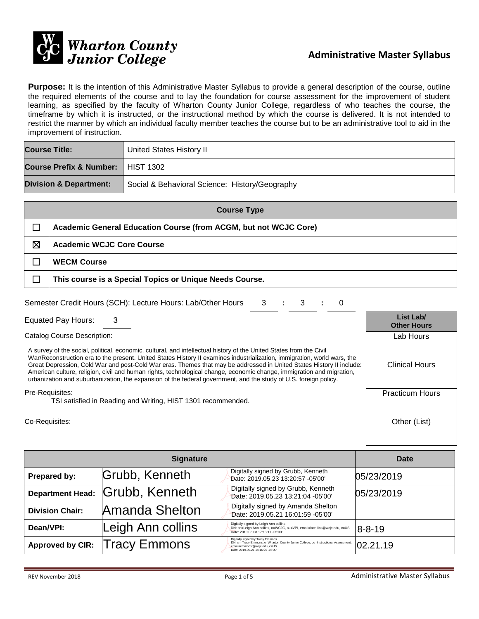

**Purpose:** It is the intention of this Administrative Master Syllabus to provide a general description of the course, outline the required elements of the course and to lay the foundation for course assessment for the improvement of student learning, as specified by the faculty of Wharton County Junior College, regardless of who teaches the course, the timeframe by which it is instructed, or the instructional method by which the course is delivered. It is not intended to restrict the manner by which an individual faculty member teaches the course but to be an administrative tool to aid in the improvement of instruction.

| <b>Course Title:</b>                | United States History II                       |
|-------------------------------------|------------------------------------------------|
| Course Prefix & Number:   HIST 1302 |                                                |
| <b>Division &amp; Department:</b>   | Social & Behavioral Science: History/Geography |

| <b>Course Type</b> |                                                                  |  |
|--------------------|------------------------------------------------------------------|--|
|                    | Academic General Education Course (from ACGM, but not WCJC Core) |  |
| ⊠                  | <b>Academic WCJC Core Course</b>                                 |  |
|                    | <b>WECM Course</b>                                               |  |
|                    | This course is a Special Topics or Unique Needs Course.          |  |

| Semester Credit Hours (SCH): Lecture Hours: Lab/Other Hours 3 : 3 : 0 |  |  |  |  |  |  |
|-----------------------------------------------------------------------|--|--|--|--|--|--|
|-----------------------------------------------------------------------|--|--|--|--|--|--|

Equated Pay Hours: 3 **List Lab/**

Catalog Course Description:

A survey of the social, political, economic, cultural, and intellectual history of the United States from the Civil War/Reconstruction era to the present. United States History II examines industrialization, immigration, world wars, the Great Depression, Cold War and post-Cold War eras. Themes that may be addressed in United States History II include: American culture, religion, civil and human rights, technological change, economic change, immigration and migration, urbanization and suburbanization, the expansion of the federal government, and the study of U.S. foreign policy.

#### Pre-Requisites:

TSI satisfied in Reading and Writing, HIST 1301 recommended.

Co-Requisites: Other (List)

| <b>Signature</b>        |                                 |                                                                                                                                                                                             | Date         |
|-------------------------|---------------------------------|---------------------------------------------------------------------------------------------------------------------------------------------------------------------------------------------|--------------|
| Prepared by:            | Grubb, Kenneth                  | Digitally signed by Grubb, Kenneth<br>Date: 2019.05.23 13:20:57 -05'00'                                                                                                                     | 05/23/2019   |
|                         | Department Head: Grubb, Kenneth | Digitally signed by Grubb, Kenneth<br>Date: 2019.05.23 13:21:04 -05'00'                                                                                                                     | 05/23/2019   |
| <b>Division Chair:</b>  | Amanda Shelton                  | Digitally signed by Amanda Shelton<br>Date: 2019.05.21 16:01:59 -05'00'                                                                                                                     |              |
| Dean/VPI:               | Leigh Ann collins               | Digitally signed by Leigh Ann collins<br>DN: cn=Leigh Ann collins, o=WCJC, ou=VPI, email=lacollins@wcjc.edu, c=US<br>Date: 2019.08.08 17:13:11 -05'00'                                      | $8 - 8 - 19$ |
| <b>Approved by CIR:</b> | <b>Tracy Emmons</b>             | Digitally signed by Tracy Emmons<br>DN: cn=Tracy Emmons, o=Wharton County Junior College, ou=Instructional Assessment,<br>email=emmonst@wcjc.edu, c=US<br>Date: 2019.05.21 14:16:25 -05'00' | 02.21.19     |

**Other Hours**

Lab Hours

Clinical Hours

Practicum Hours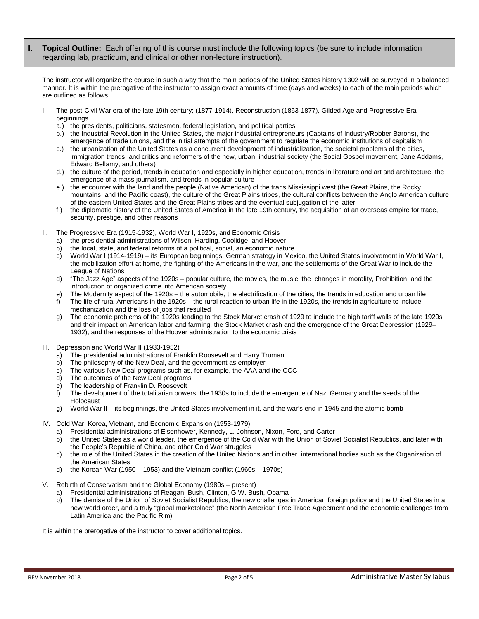**I. Topical Outline:** Each offering of this course must include the following topics (be sure to include information regarding lab, practicum, and clinical or other non-lecture instruction).

The instructor will organize the course in such a way that the main periods of the United States history 1302 will be surveyed in a balanced manner. It is within the prerogative of the instructor to assign exact amounts of time (days and weeks) to each of the main periods which are outlined as follows:

- I. The post-Civil War era of the late 19th century; (1877-1914), Reconstruction (1863-1877), Gilded Age and Progressive Era beginnings
	- a.) the presidents, politicians, statesmen, federal legislation, and political parties
	- b.) the Industrial Revolution in the United States, the major industrial entrepreneurs (Captains of Industry/Robber Barons), the emergence of trade unions, and the initial attempts of the government to regulate the economic institutions of capitalism
	- c.) the urbanization of the United States as a concurrent development of industrialization, the societal problems of the cities, immigration trends, and critics and reformers of the new, urban, industrial society (the Social Gospel movement, Jane Addams, Edward Bellamy, and others)
	- d.) the culture of the period, trends in education and especially in higher education, trends in literature and art and architecture, the emergence of a mass journalism, and trends in popular culture
	- e.) the encounter with the land and the people (Native American) of the trans Mississippi west (the Great Plains, the Rocky mountains, and the Pacific coast), the culture of the Great Plains tribes, the cultural conflicts between the Anglo American culture of the eastern United States and the Great Plains tribes and the eventual subjugation of the latter
	- f.) the diplomatic history of the United States of America in the late 19th century, the acquisition of an overseas empire for trade, security, prestige, and other reasons
- II. The Progressive Era (1915-1932), World War I, 1920s, and Economic Crisis
	- a) the presidential administrations of Wilson, Harding, Coolidge, and Hoover
	- b) the local, state, and federal reforms of a political, social, an economic nature
	- c) World War I (1914-1919) its European beginnings, German strategy in Mexico, the United States involvement in World War I, the mobilization effort at home, the fighting of the Americans in the war, and the settlements of the Great War to include the League of Nations
	- d) "The Jazz Age" aspects of the 1920s popular culture, the movies, the music, the changes in morality, Prohibition, and the introduction of organized crime into American society
	- e) The Modernity aspect of the 1920s the automobile, the electrification of the cities, the trends in education and urban life
	- f) The life of rural Americans in the 1920s the rural reaction to urban life in the 1920s, the trends in agriculture to include mechanization and the loss of jobs that resulted
	- The economic problems of the 1920s leading to the Stock Market crash of 1929 to include the high tariff walls of the late 1920s and their impact on American labor and farming, the Stock Market crash and the emergence of the Great Depression (1929– 1932), and the responses of the Hoover administration to the economic crisis
- III. Depression and World War II (1933-1952)
	- a) The presidential administrations of Franklin Roosevelt and Harry Truman
	- b) The philosophy of the New Deal, and the government as employer
	- c) The various New Deal programs such as, for example, the AAA and the CCC
	- d) The outcomes of the New Deal programs
	- e) The leadership of Franklin D. Roosevelt
	- f) The development of the totalitarian powers, the 1930s to include the emergence of Nazi Germany and the seeds of the Holocaust
	- g) World War II its beginnings, the United States involvement in it, and the war's end in 1945 and the atomic bomb
- IV. Cold War, Korea, Vietnam, and Economic Expansion (1953-1979)
	- a) Presidential administrations of Eisenhower, Kennedy, L. Johnson, Nixon, Ford, and Carter
	- b) the United States as a world leader, the emergence of the Cold War with the Union of Soviet Socialist Republics, and later with the People's Republic of China, and other Cold War struggles
	- c) the role of the United States in the creation of the United Nations and in other international bodies such as the Organization of the American States
	- d) the Korean War (1950 1953) and the Vietnam conflict (1960s 1970s)
- Rebirth of Conservatism and the Global Economy (1980s present)
	- a) Presidential administrations of Reagan, Bush, Clinton, G.W. Bush, Obama
	- b) The demise of the Union of Soviet Socialist Republics, the new challenges in American foreign policy and the United States in a new world order, and a truly "global marketplace" (the North American Free Trade Agreement and the economic challenges from Latin America and the Pacific Rim)

It is within the prerogative of the instructor to cover additional topics.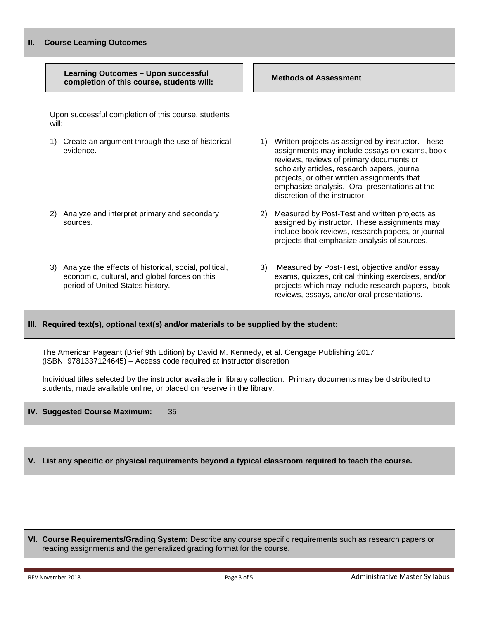| н.    | <b>Course Learning Outcomes</b>                                                                                                            |                                                                                                                                                                                                                                                                                                                                       |  |  |  |  |
|-------|--------------------------------------------------------------------------------------------------------------------------------------------|---------------------------------------------------------------------------------------------------------------------------------------------------------------------------------------------------------------------------------------------------------------------------------------------------------------------------------------|--|--|--|--|
|       | <b>Learning Outcomes - Upon successful</b><br>completion of this course, students will:                                                    | <b>Methods of Assessment</b>                                                                                                                                                                                                                                                                                                          |  |  |  |  |
| will: | Upon successful completion of this course, students                                                                                        |                                                                                                                                                                                                                                                                                                                                       |  |  |  |  |
| 1)    | Create an argument through the use of historical<br>evidence.                                                                              | Written projects as assigned by instructor. These<br>1)<br>assignments may include essays on exams, book<br>reviews, reviews of primary documents or<br>scholarly articles, research papers, journal<br>projects, or other written assignments that<br>emphasize analysis. Oral presentations at the<br>discretion of the instructor. |  |  |  |  |
| 2)    | Analyze and interpret primary and secondary<br>sources.                                                                                    | Measured by Post-Test and written projects as<br>2)<br>assigned by instructor. These assignments may<br>include book reviews, research papers, or journal<br>projects that emphasize analysis of sources.                                                                                                                             |  |  |  |  |
| 3)    | Analyze the effects of historical, social, political,<br>economic, cultural, and global forces on this<br>period of United States history. | Measured by Post-Test, objective and/or essay<br>3)<br>exams, quizzes, critical thinking exercises, and/or<br>projects which may include research papers, book<br>reviews, essays, and/or oral presentations.                                                                                                                         |  |  |  |  |

#### **III. Required text(s), optional text(s) and/or materials to be supplied by the student:**

The American Pageant (Brief 9th Edition) by David M. Kennedy, et al. Cengage Publishing 2017 (ISBN: 9781337124645) – Access code required at instructor discretion

Individual titles selected by the instructor available in library collection. Primary documents may be distributed to students, made available online, or placed on reserve in the library.

#### **IV. Suggested Course Maximum:** 35

### **V. List any specific or physical requirements beyond a typical classroom required to teach the course.**

**VI. Course Requirements/Grading System:** Describe any course specific requirements such as research papers or reading assignments and the generalized grading format for the course.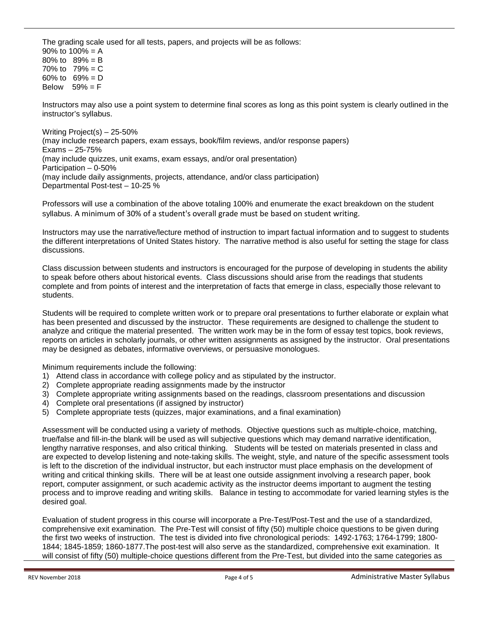The grading scale used for all tests, papers, and projects will be as follows: 90% to  $100% = A$ 80% to 89% = B 70% to  $79% = C$ 60% to 69% = D Below  $59\% = F$ 

Instructors may also use a point system to determine final scores as long as this point system is clearly outlined in the instructor's syllabus.

Writing Project(s) – 25-50% (may include research papers, exam essays, book/film reviews, and/or response papers) Exams – 25-75% (may include quizzes, unit exams, exam essays, and/or oral presentation) Participation – 0-50% (may include daily assignments, projects, attendance, and/or class participation) Departmental Post-test – 10-25 %

Professors will use a combination of the above totaling 100% and enumerate the exact breakdown on the student syllabus. A minimum of 30% of a student's overall grade must be based on student writing.

Instructors may use the narrative/lecture method of instruction to impart factual information and to suggest to students the different interpretations of United States history. The narrative method is also useful for setting the stage for class discussions.

Class discussion between students and instructors is encouraged for the purpose of developing in students the ability to speak before others about historical events. Class discussions should arise from the readings that students complete and from points of interest and the interpretation of facts that emerge in class, especially those relevant to students.

Students will be required to complete written work or to prepare oral presentations to further elaborate or explain what has been presented and discussed by the instructor. These requirements are designed to challenge the student to analyze and critique the material presented. The written work may be in the form of essay test topics, book reviews, reports on articles in scholarly journals, or other written assignments as assigned by the instructor. Oral presentations may be designed as debates, informative overviews, or persuasive monologues.

Minimum requirements include the following:

- 1) Attend class in accordance with college policy and as stipulated by the instructor.
- 2) Complete appropriate reading assignments made by the instructor
- 3) Complete appropriate writing assignments based on the readings, classroom presentations and discussion
- 4) Complete oral presentations (if assigned by instructor)
- 5) Complete appropriate tests (quizzes, major examinations, and a final examination)

Assessment will be conducted using a variety of methods. Objective questions such as multiple-choice, matching, true/false and fill-in-the blank will be used as will subjective questions which may demand narrative identification, lengthy narrative responses, and also critical thinking. Students will be tested on materials presented in class and are expected to develop listening and note-taking skills. The weight, style, and nature of the specific assessment tools is left to the discretion of the individual instructor, but each instructor must place emphasis on the development of writing and critical thinking skills. There will be at least one outside assignment involving a research paper, book report, computer assignment, or such academic activity as the instructor deems important to augment the testing process and to improve reading and writing skills. Balance in testing to accommodate for varied learning styles is the desired goal.

Evaluation of student progress in this course will incorporate a Pre-Test/Post-Test and the use of a standardized, comprehensive exit examination. The Pre-Test will consist of fifty (50) multiple choice questions to be given during the first two weeks of instruction. The test is divided into five chronological periods: 1492-1763; 1764-1799; 1800- 1844; 1845-1859; 1860-1877.The post-test will also serve as the standardized, comprehensive exit examination. It will consist of fifty (50) multiple-choice questions different from the Pre-Test, but divided into the same categories as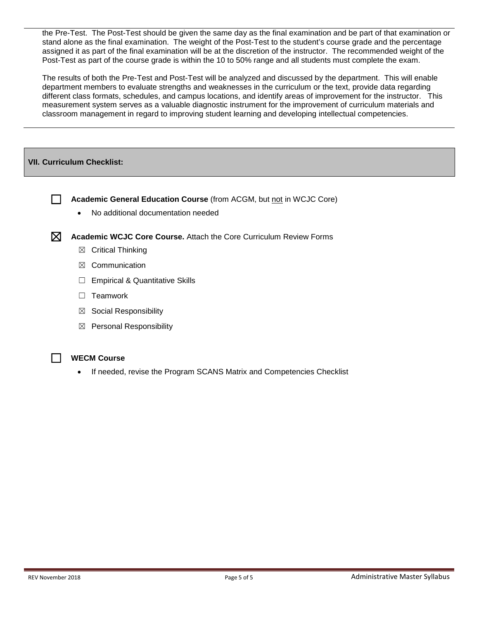the Pre-Test. The Post-Test should be given the same day as the final examination and be part of that examination or stand alone as the final examination. The weight of the Post-Test to the student's course grade and the percentage assigned it as part of the final examination will be at the discretion of the instructor. The recommended weight of the Post-Test as part of the course grade is within the 10 to 50% range and all students must complete the exam.

The results of both the Pre-Test and Post-Test will be analyzed and discussed by the department. This will enable department members to evaluate strengths and weaknesses in the curriculum or the text, provide data regarding different class formats, schedules, and campus locations, and identify areas of improvement for the instructor. This measurement system serves as a valuable diagnostic instrument for the improvement of curriculum materials and classroom management in regard to improving student learning and developing intellectual competencies.

### **VII. Curriculum Checklist:**

☐ **Academic General Education Course** (from ACGM, but not in WCJC Core)

• No additional documentation needed



☒ **Academic WCJC Core Course.** Attach the Core Curriculum Review Forms

- ☒ Critical Thinking
- ☒ Communication
- □ Empirical & Quantitative Skills
- □ Teamwork
- $\boxtimes$  Social Responsibility
- ☒ Personal Responsibility



#### ☐ **WECM Course**

If needed, revise the Program SCANS Matrix and Competencies Checklist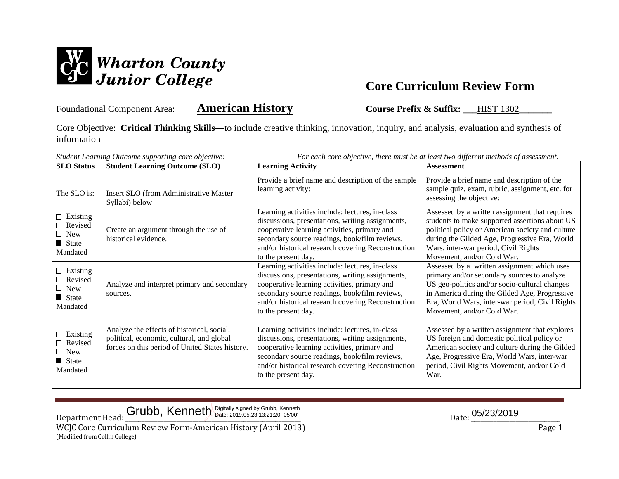

Foundational Component Area: **American History Course Prefix & Suffix:** HIST 1302

Core Objective: **Critical Thinking Skills—**to include creative thinking, innovation, inquiry, and analysis, evaluation and synthesis of information

| For each core objective, there must be at least two different methods of assessment.<br>Student Learning Outcome supporting core objective: |                                                                                                                                            |                                                                                                                                                                                                                                                                                   |                                                                                                                                                                                                                                                                               |
|---------------------------------------------------------------------------------------------------------------------------------------------|--------------------------------------------------------------------------------------------------------------------------------------------|-----------------------------------------------------------------------------------------------------------------------------------------------------------------------------------------------------------------------------------------------------------------------------------|-------------------------------------------------------------------------------------------------------------------------------------------------------------------------------------------------------------------------------------------------------------------------------|
| <b>SLO</b> Status                                                                                                                           | <b>Student Learning Outcome (SLO)</b>                                                                                                      | <b>Learning Activity</b>                                                                                                                                                                                                                                                          | <b>Assessment</b>                                                                                                                                                                                                                                                             |
| The SLO is:                                                                                                                                 | Insert SLO (from Administrative Master<br>Syllabi) below                                                                                   | Provide a brief name and description of the sample<br>learning activity:                                                                                                                                                                                                          | Provide a brief name and description of the<br>sample quiz, exam, rubric, assignment, etc. for<br>assessing the objective:                                                                                                                                                    |
| $\Box$ Existing<br>$\Box$ Revised<br>$\Box$ New<br>$\blacksquare$ State<br>Mandated                                                         | Create an argument through the use of<br>historical evidence.                                                                              | Learning activities include: lectures, in-class<br>discussions, presentations, writing assignments,<br>cooperative learning activities, primary and<br>secondary source readings, book/film reviews,<br>and/or historical research covering Reconstruction<br>to the present day. | Assessed by a written assignment that requires<br>students to make supported assertions about US<br>political policy or American society and culture<br>during the Gilded Age, Progressive Era, World<br>Wars, inter-war period, Civil Rights<br>Movement, and/or Cold War.   |
| $\Box$ Existing<br>Revised<br>$\Box$ New<br>State<br>Mandated                                                                               | Analyze and interpret primary and secondary<br>sources.                                                                                    | Learning activities include: lectures, in-class<br>discussions, presentations, writing assignments,<br>cooperative learning activities, primary and<br>secondary source readings, book/film reviews,<br>and/or historical research covering Reconstruction<br>to the present day. | Assessed by a written assignment which uses<br>primary and/or secondary sources to analyze<br>US geo-politics and/or socio-cultural changes<br>in America during the Gilded Age, Progressive<br>Era, World Wars, inter-war period, Civil Rights<br>Movement, and/or Cold War. |
| $\Box$ Existing<br>Revised<br>$\Box$ New<br>State<br>Mandated                                                                               | Analyze the effects of historical, social,<br>political, economic, cultural, and global<br>forces on this period of United States history. | Learning activities include: lectures, in-class<br>discussions, presentations, writing assignments,<br>cooperative learning activities, primary and<br>secondary source readings, book/film reviews,<br>and/or historical research covering Reconstruction<br>to the present day. | Assessed by a written assignment that explores<br>US foreign and domestic political policy or<br>American society and culture during the Gilded<br>Age, Progressive Era, World Wars, inter-war<br>period, Civil Rights Movement, and/or Cold<br>War.                          |

 $Grubb,$  Kenneth Digitally signed by Grubb, Kenneth  $\overline{O}$  ate: 2019.05.23 13:21:20 -05'00'  $D_{1}$  ate:  $D_{2}$   $D_{3}$   $D_{4}$   $D_{5}$   $D_{5}$   $D_{6}$   $D_{7}$   $D_{8}$   $D_{8}$   $D_{9}$   $D_{10}$   $D_{11}$   $D_{12}$   $D_{13}$   $D_{14}$   $D_{15}$ 

Department Head: \_\_\_\_\_\_\_\_\_\_\_\_\_\_\_\_\_\_\_\_\_\_\_\_\_\_\_\_\_\_\_\_\_\_\_\_\_\_\_\_\_\_\_\_\_\_\_\_\_\_\_\_\_\_\_ Date: \_\_\_\_\_\_\_\_\_\_\_\_\_\_\_\_\_\_\_\_\_\_\_\_\_\_\_\_ WCJC Core Curriculum Review Form-American History (April 2013) **Page 1** (Modified from Collin College)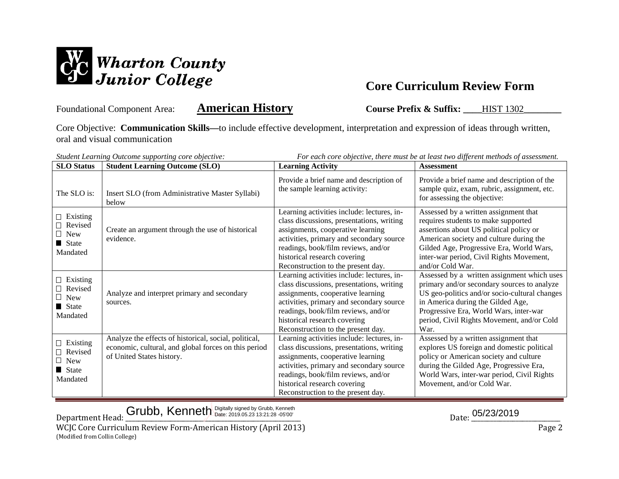

Foundational Component Area: **American History Course Prefix & Suffix:** HIST 1302

Core Objective: **Communication Skills—**to include effective development, interpretation and expression of ideas through written, oral and visual communication

| For each core objective, there must be at least two different methods of assessment.<br>Student Learning Outcome supporting core objective: |                                                                                                                                            |                                                                                                                                                                                                                                                                                       |                                                                                                                                                                                                                                                                                  |
|---------------------------------------------------------------------------------------------------------------------------------------------|--------------------------------------------------------------------------------------------------------------------------------------------|---------------------------------------------------------------------------------------------------------------------------------------------------------------------------------------------------------------------------------------------------------------------------------------|----------------------------------------------------------------------------------------------------------------------------------------------------------------------------------------------------------------------------------------------------------------------------------|
| <b>SLO Status</b>                                                                                                                           | <b>Student Learning Outcome (SLO)</b>                                                                                                      | <b>Learning Activity</b>                                                                                                                                                                                                                                                              | <b>Assessment</b>                                                                                                                                                                                                                                                                |
| The SLO is:                                                                                                                                 | Insert SLO (from Administrative Master Syllabi)<br>below                                                                                   | Provide a brief name and description of<br>the sample learning activity:                                                                                                                                                                                                              | Provide a brief name and description of the<br>sample quiz, exam, rubric, assignment, etc.<br>for assessing the objective:                                                                                                                                                       |
| $\Box$ Existing<br>Revised<br>$\Box$ New<br>$\blacksquare$ State<br>Mandated                                                                | Create an argument through the use of historical<br>evidence.                                                                              | Learning activities include: lectures, in-<br>class discussions, presentations, writing<br>assignments, cooperative learning<br>activities, primary and secondary source<br>readings, book/film reviews, and/or<br>historical research covering<br>Reconstruction to the present day. | Assessed by a written assignment that<br>requires students to make supported<br>assertions about US political policy or<br>American society and culture during the<br>Gilded Age, Progressive Era, World Wars,<br>inter-war period, Civil Rights Movement,<br>and/or Cold War.   |
| $\Box$ Existing<br>Revised<br>$\Box$ New<br>State State<br>Mandated                                                                         | Analyze and interpret primary and secondary<br>sources.                                                                                    | Learning activities include: lectures, in-<br>class discussions, presentations, writing<br>assignments, cooperative learning<br>activities, primary and secondary source<br>readings, book/film reviews, and/or<br>historical research covering<br>Reconstruction to the present day. | Assessed by a written assignment which uses<br>primary and/or secondary sources to analyze<br>US geo-politics and/or socio-cultural changes<br>in America during the Gilded Age,<br>Progressive Era, World Wars, inter-war<br>period, Civil Rights Movement, and/or Cold<br>War. |
| $\Box$ Existing<br>□ Revised<br>New<br>State<br>Mandated                                                                                    | Analyze the effects of historical, social, political,<br>economic, cultural, and global forces on this period<br>of United States history. | Learning activities include: lectures, in-<br>class discussions, presentations, writing<br>assignments, cooperative learning<br>activities, primary and secondary source<br>readings, book/film reviews, and/or<br>historical research covering<br>Reconstruction to the present day. | Assessed by a written assignment that<br>explores US foreign and domestic political<br>policy or American society and culture<br>during the Gilded Age, Progressive Era,<br>World Wars, inter-war period, Civil Rights<br>Movement, and/or Cold War.                             |

Grubb, Kenneth Digitally signed by Grubb, Kenneth **Example:** 2019.05.23 13:21:28 -05'00' **13:21:28** -05'00' **13:21:28 -05'00' 13:21:28 -05'00' 13:21:28 -05'00' 13:21:28 -05'00' 13:21:28 -05'00' 13:21:28 -05'00'** 

Department Head: \_\_\_\_\_\_\_\_\_\_\_\_\_\_\_\_\_\_\_\_\_\_\_\_\_\_\_\_\_\_\_\_\_\_\_\_\_\_\_\_\_\_\_\_\_\_\_\_\_\_\_\_\_\_\_ Date: \_\_\_\_\_\_\_\_\_\_\_\_\_\_\_\_\_\_\_\_\_\_\_\_\_\_\_\_ WCJC Core Curriculum Review Form-American History (April 2013) **Page 2** Page 2 (Modified from Collin College)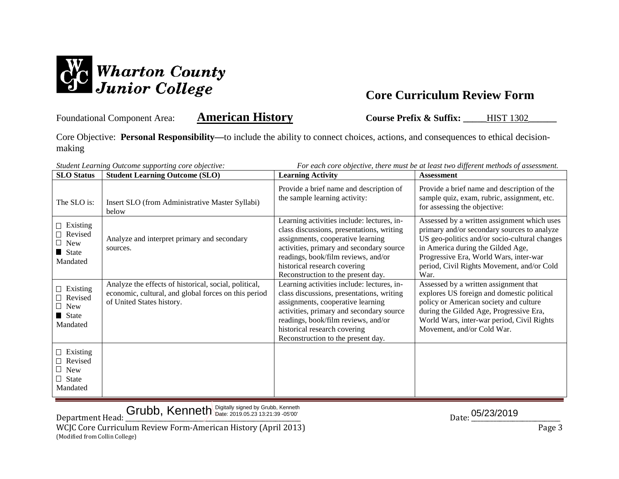

Foundational Component Area: **American History Course Prefix & Suffix:** HIST 1302

Core Objective: **Personal Responsibility—**to include the ability to connect choices, actions, and consequences to ethical decisionmaking

| <b>SLO</b> Status                                                                   | <b>Student Learning Outcome (SLO)</b>                                                                                                      | <b>Learning Activity</b>                                                                                                                                                                                                                                                              | <b>Assessment</b>                                                                                                                                                                                                                                                                |
|-------------------------------------------------------------------------------------|--------------------------------------------------------------------------------------------------------------------------------------------|---------------------------------------------------------------------------------------------------------------------------------------------------------------------------------------------------------------------------------------------------------------------------------------|----------------------------------------------------------------------------------------------------------------------------------------------------------------------------------------------------------------------------------------------------------------------------------|
| The SLO is:                                                                         | Insert SLO (from Administrative Master Syllabi)<br>below                                                                                   | Provide a brief name and description of<br>the sample learning activity:                                                                                                                                                                                                              | Provide a brief name and description of the<br>sample quiz, exam, rubric, assignment, etc.<br>for assessing the objective:                                                                                                                                                       |
| $\Box$ Existing<br>$\Box$ Revised<br>$\Box$ New<br>State<br>Mandated                | Analyze and interpret primary and secondary<br>sources.                                                                                    | Learning activities include: lectures, in-<br>class discussions, presentations, writing<br>assignments, cooperative learning<br>activities, primary and secondary source<br>readings, book/film reviews, and/or<br>historical research covering<br>Reconstruction to the present day. | Assessed by a written assignment which uses<br>primary and/or secondary sources to analyze<br>US geo-politics and/or socio-cultural changes<br>in America during the Gilded Age,<br>Progressive Era, World Wars, inter-war<br>period, Civil Rights Movement, and/or Cold<br>War. |
| $\Box$ Existing<br>$\Box$ Revised<br>$\Box$ New<br>$\blacksquare$ State<br>Mandated | Analyze the effects of historical, social, political,<br>economic, cultural, and global forces on this period<br>of United States history. | Learning activities include: lectures, in-<br>class discussions, presentations, writing<br>assignments, cooperative learning<br>activities, primary and secondary source<br>readings, book/film reviews, and/or<br>historical research covering<br>Reconstruction to the present day. | Assessed by a written assignment that<br>explores US foreign and domestic political<br>policy or American society and culture<br>during the Gilded Age, Progressive Era,<br>World Wars, inter-war period, Civil Rights<br>Movement, and/or Cold War.                             |
| $\Box$ Existing<br>Revised<br><b>New</b><br>$\Box$ State<br>Mandated                |                                                                                                                                            |                                                                                                                                                                                                                                                                                       |                                                                                                                                                                                                                                                                                  |

*Student Learning Outcome supporting core objective: For each core objective, there must be at least two different methods of assessment.*

 $Grubb,$  Kenneth Digitally signed by Grubb, Kenneth  $\overline{O}$  ate: 2019.05.23 13:21:39 -05'00'  $D_{1}$  ate:  $D_{2}$   $D_{3}$   $D_{4}$   $D_{5}$   $D_{5}$   $D_{6}$   $D_{7}$   $D_{8}$   $D_{8}$   $D_{9}$   $D_{1}$   $D_{1}$   $D_{1}$   $D_{2}$   $D_{1}$   $D_{2}$   $D_{3}$ 

Department Head: \_\_\_\_\_\_\_\_\_\_\_\_\_\_\_\_\_\_\_\_\_\_\_\_\_\_\_\_\_\_\_\_\_\_\_\_\_\_\_\_\_\_\_\_\_\_\_\_\_\_\_\_\_\_\_ Date: \_\_\_\_\_\_\_\_\_\_\_\_\_\_\_\_\_\_\_\_\_\_\_\_\_\_\_\_ WCJC Core Curriculum Review Form-American History (April 2013) Page 3 (Modified from Collin College)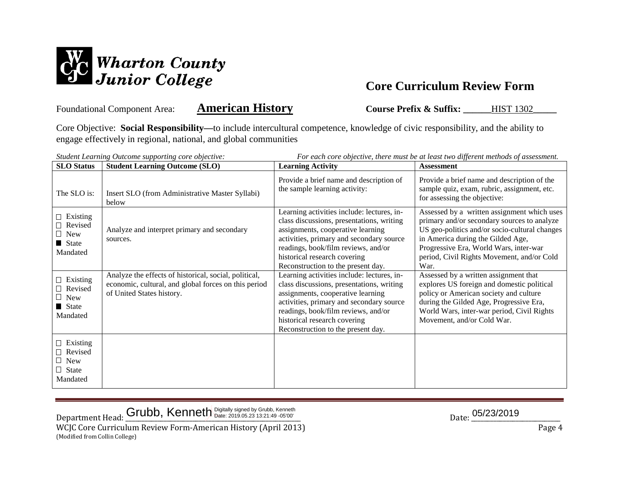

Foundational Component Area: **American History Course Prefix & Suffix:** HIST 1302

Core Objective: **Social Responsibility—**to include intercultural competence, knowledge of civic responsibility, and the ability to engage effectively in regional, national, and global communities

| For each core objective, there must be at least two different methods of assessment.<br>Student Learning Outcome supporting core objective: |                                                                                                                                            |                                                                                                                                                                                                                                                                                       |                                                                                                                                                                                                                                                                                  |  |
|---------------------------------------------------------------------------------------------------------------------------------------------|--------------------------------------------------------------------------------------------------------------------------------------------|---------------------------------------------------------------------------------------------------------------------------------------------------------------------------------------------------------------------------------------------------------------------------------------|----------------------------------------------------------------------------------------------------------------------------------------------------------------------------------------------------------------------------------------------------------------------------------|--|
| <b>SLO</b> Status                                                                                                                           | <b>Student Learning Outcome (SLO)</b>                                                                                                      | <b>Learning Activity</b>                                                                                                                                                                                                                                                              | Assessment                                                                                                                                                                                                                                                                       |  |
| The SLO is:                                                                                                                                 | Insert SLO (from Administrative Master Syllabi)<br>helow                                                                                   | Provide a brief name and description of<br>the sample learning activity:                                                                                                                                                                                                              | Provide a brief name and description of the<br>sample quiz, exam, rubric, assignment, etc.<br>for assessing the objective:                                                                                                                                                       |  |
| $\Box$ Existing<br>$\Box$ Revised<br>$\Box$ New<br>State<br>Mandated                                                                        | Analyze and interpret primary and secondary<br>sources.                                                                                    | Learning activities include: lectures, in-<br>class discussions, presentations, writing<br>assignments, cooperative learning<br>activities, primary and secondary source<br>readings, book/film reviews, and/or<br>historical research covering<br>Reconstruction to the present day. | Assessed by a written assignment which uses<br>primary and/or secondary sources to analyze<br>US geo-politics and/or socio-cultural changes<br>in America during the Gilded Age,<br>Progressive Era, World Wars, inter-war<br>period, Civil Rights Movement, and/or Cold<br>War. |  |
| $\Box$ Existing<br>$\Box$ Revised<br>$\Box$ New<br>$\blacksquare$ State<br>Mandated                                                         | Analyze the effects of historical, social, political,<br>economic, cultural, and global forces on this period<br>of United States history. | Learning activities include: lectures, in-<br>class discussions, presentations, writing<br>assignments, cooperative learning<br>activities, primary and secondary source<br>readings, book/film reviews, and/or<br>historical research covering<br>Reconstruction to the present day. | Assessed by a written assignment that<br>explores US foreign and domestic political<br>policy or American society and culture<br>during the Gilded Age, Progressive Era,<br>World Wars, inter-war period, Civil Rights<br>Movement, and/or Cold War.                             |  |
| $\Box$ Existing<br>□ Revised<br>New<br>$\Box$ State<br>Mandated                                                                             |                                                                                                                                            |                                                                                                                                                                                                                                                                                       |                                                                                                                                                                                                                                                                                  |  |

 $\Delta$ Department Head:  $\frac{\text{Grubb, Kenneth}^{\text{Digitally signed by Grubb, Kenneth}}{\text{Date: } 2019.05.2313:21:49-05'00'}}$ 

WCJC Core Curriculum Review Form-American History (April 2013) **Page 4** (Modified from Collin College)